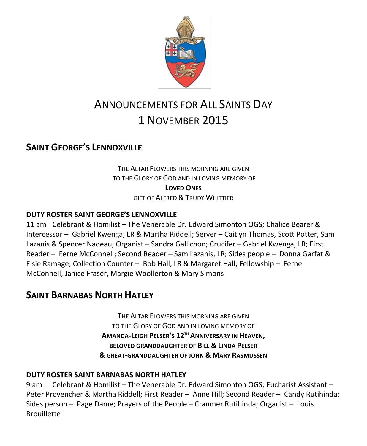

# ANNOUNCEMENTS FOR ALL SAINTS DAY 1 NOVEMBER 2015

### **SAINT GEORGE'S LENNOXVILLE**

THE ALTAR FLOWERS THIS MORNING ARE GIVEN TO THE GLORY OF GOD AND IN LOVING MEMORY OF **LOVED ONES** GIFT OF ALFRED & TRUDY WHITTIER

#### **DUTY ROSTER SAINT GEORGE'S LENNOXVILLE**

11 am Celebrant & Homilist – The Venerable Dr. Edward Simonton OGS; Chalice Bearer & Intercessor – Gabriel Kwenga, LR & Martha Riddell; Server – Caitlyn Thomas, Scott Potter, Sam Lazanis & Spencer Nadeau; Organist – Sandra Gallichon; Crucifer – Gabriel Kwenga, LR; First Reader – Ferne McConnell; Second Reader – Sam Lazanis, LR; Sides people – Donna Garfat & Elsie Ramage; Collection Counter – Bob Hall, LR & Margaret Hall; Fellowship – Ferne McConnell, Janice Fraser, Margie Woollerton & Mary Simons

### **SAINT BARNABAS NORTH HATLEY**

THE ALTAR FLOWERS THIS MORNING ARE GIVEN TO THE GLORY OF GOD AND IN LOVING MEMORY OF **AMANDA-LEIGH PELSER'S 12TH ANNIVERSARY IN HEAVEN, BELOVED GRANDDAUGHTER OF BILL & LINDA PELSER & GREAT-GRANDDAUGHTER OF JOHN & MARY RASMUSSEN**

#### **DUTY ROSTER SAINT BARNABAS NORTH HATLEY**

9 am Celebrant & Homilist – The Venerable Dr. Edward Simonton OGS; Eucharist Assistant – Peter Provencher & Martha Riddell; First Reader – Anne Hill; Second Reader – Candy Rutihinda; Sides person – Page Dame; Prayers of the People – Cranmer Rutihinda; Organist – Louis **Brouillette**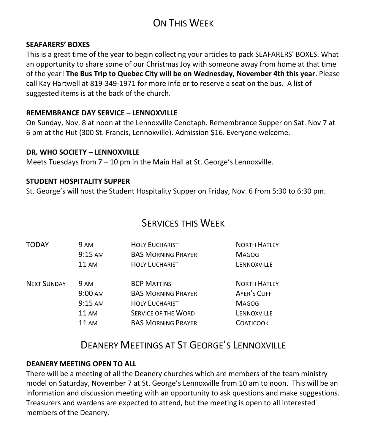## ON THIS WEEK

#### **SEAFARERS' BOXES**

This is a great time of the year to begin collecting your articles to pack SEAFARERS' BOXES. What an opportunity to share some of our Christmas Joy with someone away from home at that time of the year! **The Bus Trip to Quebec City will be on Wednesday, November 4th this year**. Please call Kay Hartwell at 819-349-1971 for more info or to reserve a seat on the bus. A list of suggested items is at the back of the church.

#### **REMEMBRANCE DAY SERVICE – LENNOXVILLE**

On Sunday, Nov. 8 at noon at the Lennoxville Cenotaph. Remembrance Supper on Sat. Nov 7 at 6 pm at the Hut (300 St. Francis, Lennoxville). Admission \$16. Everyone welcome.

#### **DR. WHO SOCIETY – LENNOXVILLE**

Meets Tuesdays from 7 – 10 pm in the Main Hall at St. George's Lennoxville.

#### **STUDENT HOSPITALITY SUPPER**

St. George's will host the Student Hospitality Supper on Friday, Nov. 6 from 5:30 to 6:30 pm.

### SERVICES THIS WEEK

| 9 AM              | <b>HOLY EUCHARIST</b>      | <b>NORTH HATLEY</b> |
|-------------------|----------------------------|---------------------|
| $9:15$ AM         | <b>BAS MORNING PRAYER</b>  | <b>MAGOG</b>        |
| <b>11 AM</b>      | <b>HOLY EUCHARIST</b>      | LENNOXVILLE         |
| <b>9 AM</b>       | <b>BCP MATTINS</b>         | <b>NORTH HATLEY</b> |
| $9:00 \text{ AM}$ | <b>BAS MORNING PRAYER</b>  | AYER'S CLIFF        |
| $9:15 \text{ AM}$ | <b>HOLY EUCHARIST</b>      | <b>MAGOG</b>        |
| $11 \text{ AM}$   | <b>SERVICE OF THE WORD</b> | LENNOXVILLE         |
| 11AM              | <b>BAS MORNING PRAYER</b>  | <b>COATICOOK</b>    |
|                   |                            |                     |

### DEANERY MEETINGS AT ST GEORGE'S LENNOXVILLE

#### **DEANERY MEETING OPEN TO ALL**

There will be a meeting of all the Deanery churches which are members of the team ministry model on Saturday, November 7 at St. George's Lennoxville from 10 am to noon. This will be an information and discussion meeting with an opportunity to ask questions and make suggestions. Treasurers and wardens are expected to attend, but the meeting is open to all interested members of the Deanery.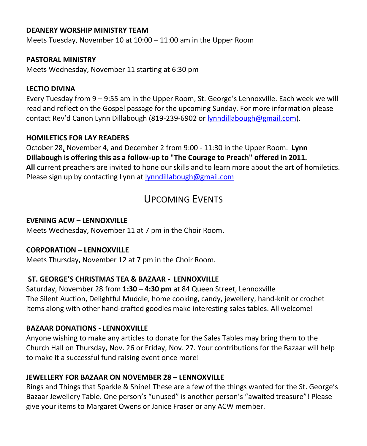#### **DEANERY WORSHIP MINISTRY TEAM**

Meets Tuesday, November 10 at 10:00 – 11:00 am in the Upper Room

#### **PASTORAL MINISTRY**

Meets Wednesday, November 11 starting at 6:30 pm

#### **LECTIO DIVINA**

Every Tuesday from 9 – 9:55 am in the Upper Room, St. George's Lennoxville. Each week we will read and reflect on the Gospel passage for the upcoming Sunday. For more information please contact Rev'd Canon Lynn Dillabough (819-239-6902 or [lynndillabough@gmail.com\)](mailto:lynndillabough@gmail.com).

#### **HOMILETICS FOR LAY READERS**

October 28, November 4, and December 2 from 9:00 - 11:30 in the Upper Room. **Lynn Dillabough is offering this as a follow-up to "The Courage to Preach" offered in 2011. All** current preachers are invited to hone our skills and to learn more about the art of homiletics. Please sign up by contacting Lynn at [lynndillabough@gmail.com](https://webmail.ubishops.ca/owa/redir.aspx?SURL=nksXqGp85F_Dom4r3JsslLbkidVbmkiX7It9Wrxex6QiuuBWxdTSCG0AYQBpAGwAdABvADoAbAB5AG4AbgBkAGkAbABsAGEAYgBvAHUAZwBoAEAAZwBtAGEAaQBsAC4AYwBvAG0A&URL=mailto%3alynndillabough%40gmail.com)

### UPCOMING EVENTS

#### **EVENING ACW – LENNOXVILLE**

Meets Wednesday, November 11 at 7 pm in the Choir Room.

#### **CORPORATION – LENNOXVILLE**

Meets Thursday, November 12 at 7 pm in the Choir Room.

#### **ST. GEORGE'S CHRISTMAS TEA & BAZAAR - LENNOXVILLE**

Saturday, November 28 from **1:30 – 4:30 pm** at 84 Queen Street, Lennoxville The Silent Auction, Delightful Muddle, home cooking, candy, jewellery, hand-knit or crochet items along with other hand-crafted goodies make interesting sales tables. All welcome!

#### **BAZAAR DONATIONS - LENNOXVILLE**

Anyone wishing to make any articles to donate for the Sales Tables may bring them to the Church Hall on Thursday, Nov. 26 or Friday, Nov. 27. Your contributions for the Bazaar will help to make it a successful fund raising event once more!

#### **JEWELLERY FOR BAZAAR ON NOVEMBER 28 – LENNOXVILLE**

Rings and Things that Sparkle & Shine! These are a few of the things wanted for the St. George's Bazaar Jewellery Table. One person's "unused" is another person's "awaited treasure"! Please give your items to Margaret Owens or Janice Fraser or any ACW member.